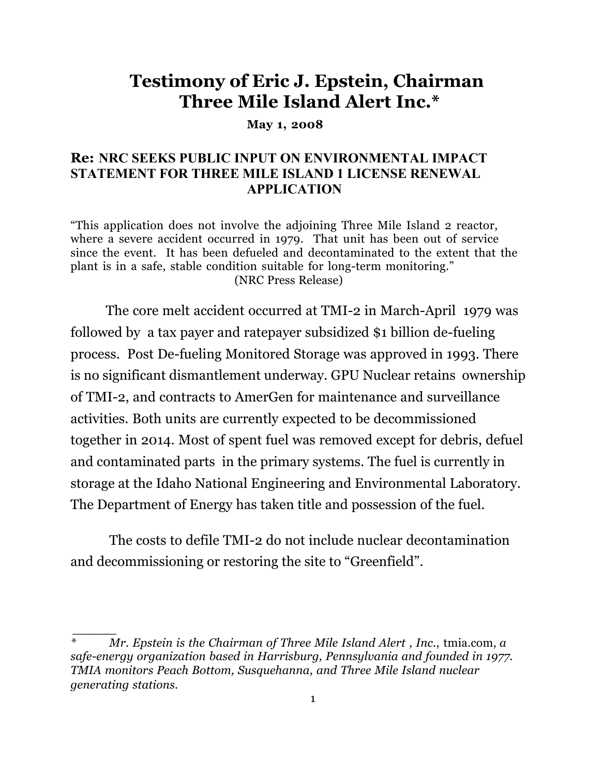# **Testimony of Eric J. Epstein, Chairman Three Mile Island Alert Inc.\***

**May 1, 2008**

### **Re: NRC SEEKS PUBLIC INPUT ON ENVIRONMENTAL IMPACT STATEMENT FOR THREE MILE ISLAND 1 LICENSE RENEWAL APPLICATION**

"This application does not involve the adjoining Three Mile Island 2 reactor, where a severe accident occurred in 1979. That unit has been out of service since the event. It has been defueled and decontaminated to the extent that the plant is in a safe, stable condition suitable for long-term monitoring." (NRC Press Release)

 The core melt accident occurred at TMI-2 in March-April 1979 was followed by a tax payer and ratepayer subsidized \$1 billion de-fueling process. Post De-fueling Monitored Storage was approved in 1993. There is no significant dismantlement underway. GPU Nuclear retains ownership of TMI-2, and contracts to AmerGen for maintenance and surveillance activities. Both units are currently expected to be decommissioned together in 2014. Most of spent fuel was removed except for debris, defuel and contaminated parts in the primary systems. The fuel is currently in storage at the Idaho National Engineering and Environmental Laboratory. The Department of Energy has taken title and possession of the fuel.

The costs to defile TMI-2 do not include nuclear decontamination and decommissioning or restoring the site to "Greenfield".

 *\_\_\_\_\_*

*<sup>\*</sup> Mr. Epstein is the Chairman of Three Mile Island Alert , Inc.*, tmia.com, *a safe-energy organization based in Harrisburg, Pennsylvania and founded in 1977. TMIA monitors Peach Bottom, Susquehanna, and Three Mile Island nuclear generating stations.*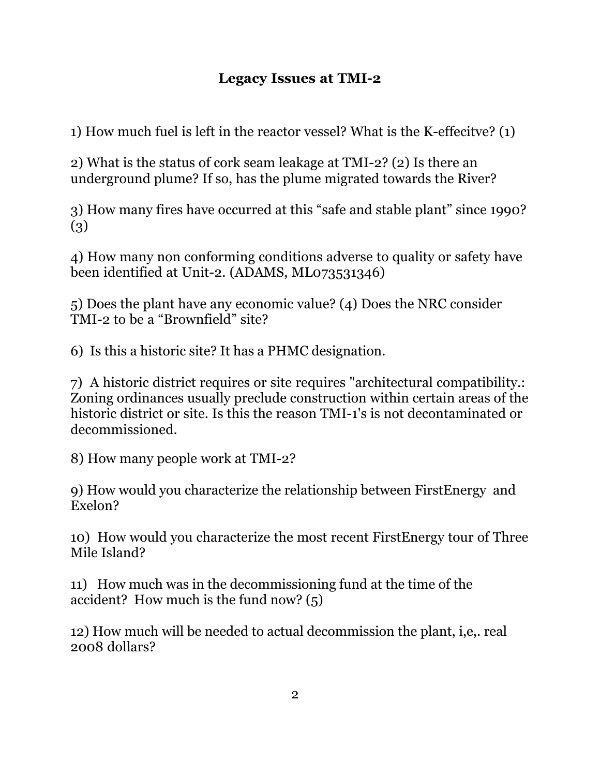## **Legacy Issues at TMI-2**

1) How much fuel is left in the reactor vessel? What is the K-effecitve? (1)

2) What is the status of cork seam leakage at TMI-2? (2) Is there an underground plume? If so, has the plume migrated towards the River?

3) How many fires have occurred at this "safe and stable plant" since 1990? (3)

4) How many non conforming conditions adverse to quality or safety have been identified at Unit-2. (ADAMS, ML073531346)

5) Does the plant have any economic value? (4) Does the NRC consider TMI-2 to be a "Brownfield" site?

6) Is this a historic site? It has a PHMC designation.

7) A historic district requires or site requires "architectural compatibility.: Zoning ordinances usually preclude construction within certain areas of the historic district or site. Is this the reason TMI-1's is not decontaminated or decommissioned.

8) How many people work at TMI-2?

9) How would you characterize the relationship between FirstEnergy and Exelon?

10) How would you characterize the most recent FirstEnergy tour of Three Mile Island?

11) How much was in the decommissioning fund at the time of the accident? How much is the fund now? (5)

12) How much will be needed to actual decommission the plant, i,e,. real 2008 dollars?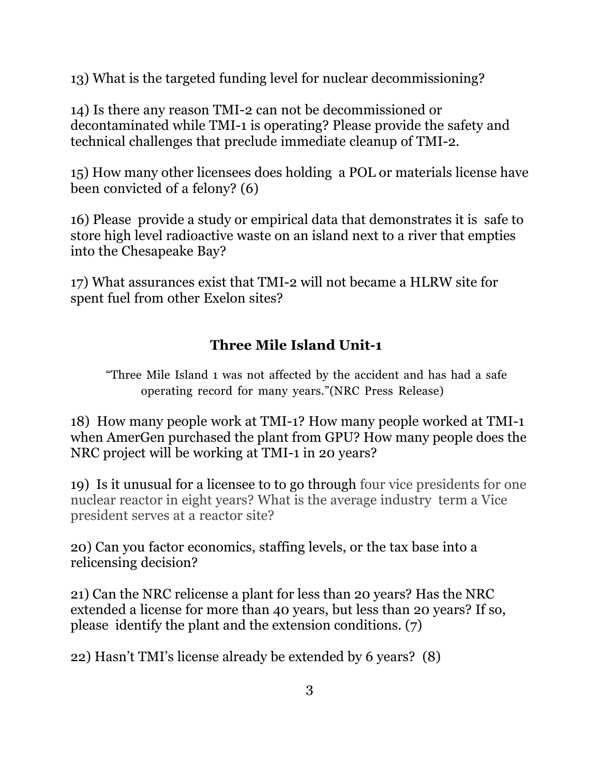13) What is the targeted funding level for nuclear decommissioning?

14) Is there any reason TMI-2 can not be decommissioned or decontaminated while TMI-1 is operating? Please provide the safety and technical challenges that preclude immediate cleanup of TMI-2.

15) How many other licensees does holding a POL or materials license have been convicted of a felony? (6)

16) Please provide a study or empirical data that demonstrates it is safe to store high level radioactive waste on an island next to a river that empties into the Chesapeake Bay?

17) What assurances exist that TMI-2 will not became a HLRW site for spent fuel from other Exelon sites?

# **Three Mile Island Unit-1**

"Three Mile Island 1 was not affected by the accident and has had a safe operating record for many years."(NRC Press Release)

18) How many people work at TMI-1? How many people worked at TMI-1 when AmerGen purchased the plant from GPU? How many people does the NRC project will be working at TMI-1 in 20 years?

19) Is it unusual for a licensee to to go through four vice presidents for one nuclear reactor in eight years? What is the average industry term a Vice president serves at a reactor site?

20) Can you factor economics, staffing levels, or the tax base into a relicensing decision?

21) Can the NRC relicense a plant for less than 20 years? Has the NRC extended a license for more than 40 years, but less than 20 years? If so, please identify the plant and the extension conditions. (7)

22) Hasn't TMI's license already be extended by 6 years? (8)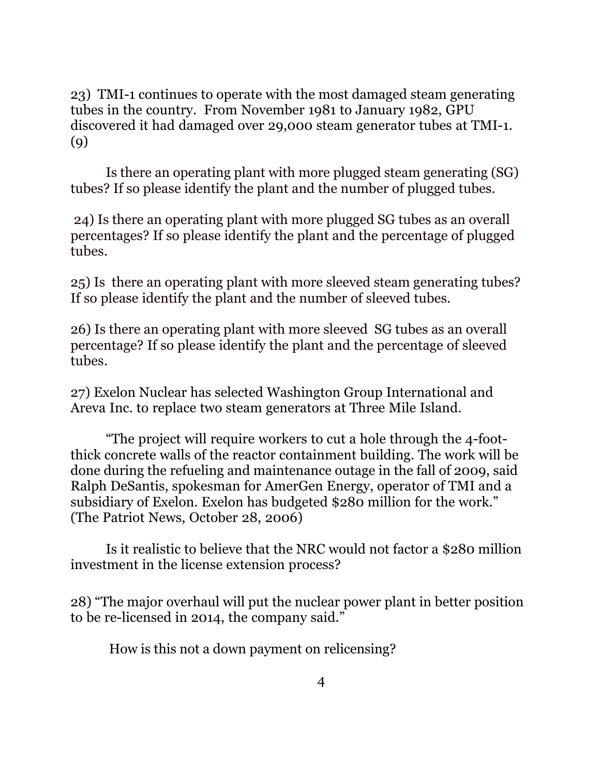23) TMI-1 continues to operate with the most damaged steam generating tubes in the country. From November 1981 to January 1982, GPU discovered it had damaged over 29,000 steam generator tubes at TMI-1. (9)

Is there an operating plant with more plugged steam generating (SG) tubes? If so please identify the plant and the number of plugged tubes.

 24) Is there an operating plant with more plugged SG tubes as an overall percentages? If so please identify the plant and the percentage of plugged tubes.

25) Is there an operating plant with more sleeved steam generating tubes? If so please identify the plant and the number of sleeved tubes.

26) Is there an operating plant with more sleeved SG tubes as an overall percentage? If so please identify the plant and the percentage of sleeved tubes.

27) Exelon Nuclear has selected Washington Group International and Areva Inc. to replace two steam generators at Three Mile Island.

"The project will require workers to cut a hole through the 4-footthick concrete walls of the reactor containment building. The work will be done during the refueling and maintenance outage in the fall of 2009, said Ralph DeSantis, spokesman for AmerGen Energy, operator of TMI and a subsidiary of Exelon. Exelon has budgeted \$280 million for the work." (The Patriot News, October 28, 2006)

Is it realistic to believe that the NRC would not factor a \$280 million investment in the license extension process?

28) "The major overhaul will put the nuclear power plant in better position to be re-licensed in 2014, the company said."

How is this not a down payment on relicensing?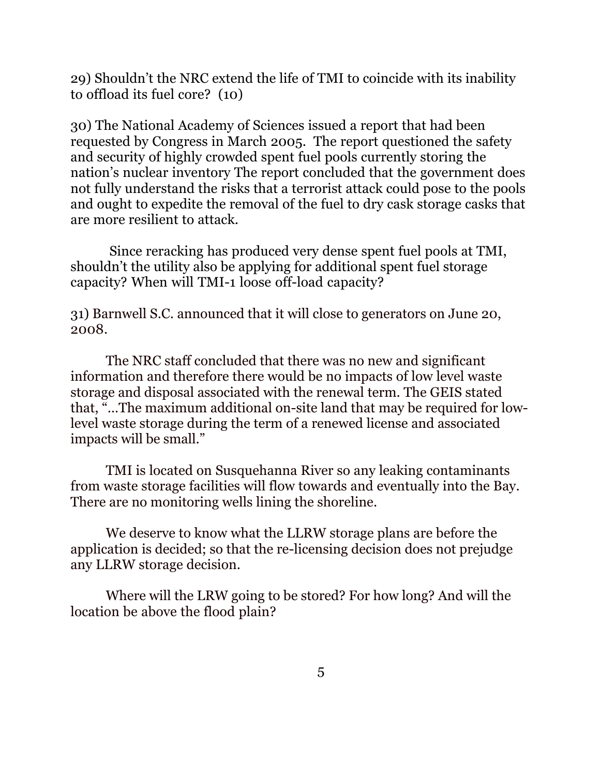29) Shouldn't the NRC extend the life of TMI to coincide with its inability to offload its fuel core? (10)

30) The National Academy of Sciences issued a report that had been requested by Congress in March 2005. The report questioned the safety and security of highly crowded spent fuel pools currently storing the nation's nuclear inventory The report concluded that the government does not fully understand the risks that a terrorist attack could pose to the pools and ought to expedite the removal of the fuel to dry cask storage casks that are more resilient to attack.

Since reracking has produced very dense spent fuel pools at TMI, shouldn't the utility also be applying for additional spent fuel storage capacity? When will TMI-1 loose off-load capacity?

31) Barnwell S.C. announced that it will close to generators on June 20, 2008.

The NRC staff concluded that there was no new and significant information and therefore there would be no impacts of low level waste storage and disposal associated with the renewal term. The GEIS stated that, "…The maximum additional on-site land that may be required for lowlevel waste storage during the term of a renewed license and associated impacts will be small."

 TMI is located on Susquehanna River so any leaking contaminants from waste storage facilities will flow towards and eventually into the Bay. There are no monitoring wells lining the shoreline.

We deserve to know what the LLRW storage plans are before the application is decided; so that the re-licensing decision does not prejudge any LLRW storage decision.

Where will the LRW going to be stored? For how long? And will the location be above the flood plain?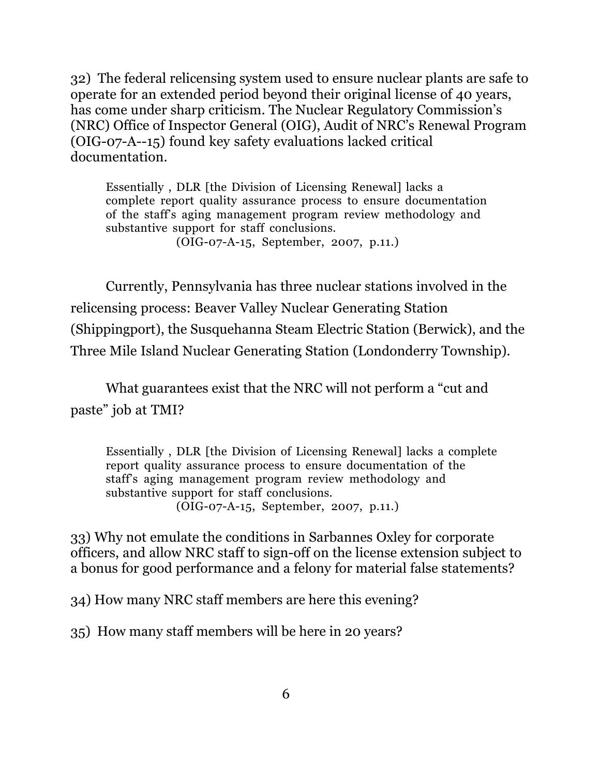32) The federal relicensing system used to ensure nuclear plants are safe to operate for an extended period beyond their original license of 40 years, has come under sharp criticism. The Nuclear Regulatory Commission's (NRC) Office of Inspector General (OIG), Audit of NRC's Renewal Program (OIG-07-A--15) found key safety evaluations lacked critical documentation.

Essentially , DLR [the Division of Licensing Renewal] lacks a complete report quality assurance process to ensure documentation of the staff's aging management program review methodology and substantive support for staff conclusions.

(OIG-07-A-15, September, 2007, p.11.)

Currently, Pennsylvania has three nuclear stations involved in the relicensing process: Beaver Valley Nuclear Generating Station (Shippingport), the Susquehanna Steam Electric Station (Berwick), and the Three Mile Island Nuclear Generating Station (Londonderry Township).

What guarantees exist that the NRC will not perform a "cut and paste" job at TMI?

Essentially , DLR [the Division of Licensing Renewal] lacks a complete report quality assurance process to ensure documentation of the staff's aging management program review methodology and substantive support for staff conclusions. (OIG-07-A-15, September, 2007, p.11.)

33) Why not emulate the conditions in Sarbannes Oxley for corporate officers, and allow NRC staff to sign-off on the license extension subject to a bonus for good performance and a felony for material false statements?

34) How many NRC staff members are here this evening?

35) How many staff members will be here in 20 years?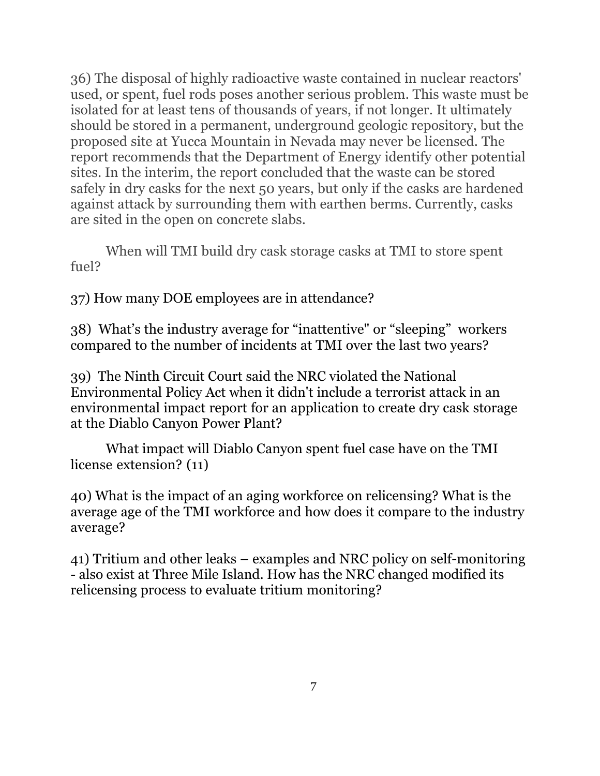36) The disposal of highly radioactive waste contained in nuclear reactors' used, or spent, fuel rods poses another serious problem. This waste must be isolated for at least tens of thousands of years, if not longer. It ultimately should be stored in a permanent, underground geologic repository, but the proposed site at Yucca Mountain in Nevada may never be licensed. The report recommends that the Department of Energy identify other potential sites. In the interim, the report concluded that the waste can be stored safely in dry casks for the next 50 years, but only if the casks are hardened against attack by surrounding them with earthen berms. Currently, casks are sited in the open on concrete slabs.

When will TMI build dry cask storage casks at TMI to store spent fuel?

37) How many DOE employees are in attendance?

38) What's the industry average for "inattentive" or "sleeping" workers compared to the number of incidents at TMI over the last two years?

39) The Ninth Circuit Court said the NRC violated the National Environmental Policy Act when it didn't include a terrorist attack in an environmental impact report for an application to create dry cask storage at the Diablo Canyon Power Plant?

What impact will Diablo Canyon spent fuel case have on the TMI license extension? (11)

40) What is the impact of an aging workforce on relicensing? What is the average age of the TMI workforce and how does it compare to the industry average?

41) Tritium and other leaks – examples and NRC policy on self-monitoring - also exist at Three Mile Island. How has the NRC changed modified its relicensing process to evaluate tritium monitoring?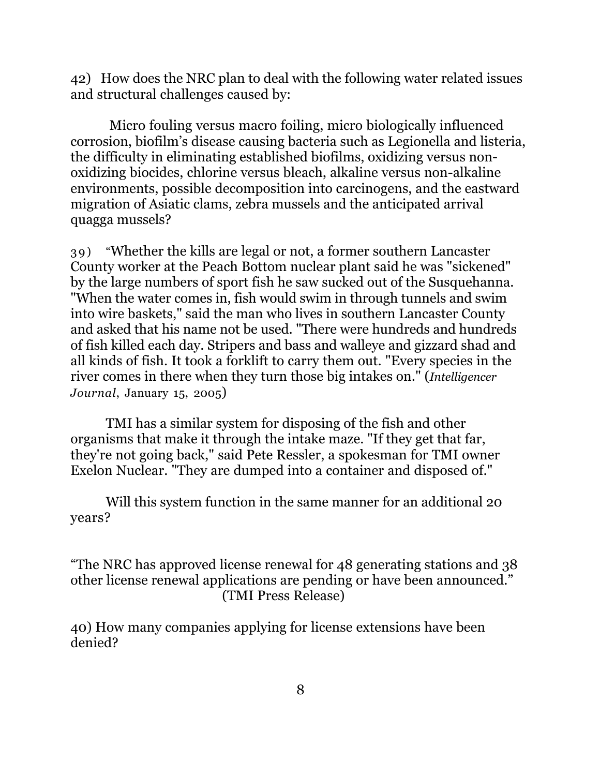42) How does the NRC plan to deal with the following water related issues and structural challenges caused by:

Micro fouling versus macro foiling, micro biologically influenced corrosion, biofilm's disease causing bacteria such as Legionella and listeria, the difficulty in eliminating established biofilms, oxidizing versus nonoxidizing biocides, chlorine versus bleach, alkaline versus non-alkaline environments, possible decomposition into carcinogens, and the eastward migration of Asiatic clams, zebra mussels and the anticipated arrival quagga mussels?

39) "Whether the kills are legal or not, a former southern Lancaster County worker at the Peach Bottom nuclear plant said he was "sickened" by the large numbers of sport fish he saw sucked out of the Susquehanna. "When the water comes in, fish would swim in through tunnels and swim into wire baskets," said the man who lives in southern Lancaster County and asked that his name not be used. "There were hundreds and hundreds of fish killed each day. Stripers and bass and walleye and gizzard shad and all kinds of fish. It took a forklift to carry them out. "Every species in the river comes in there when they turn those big intakes on." (*Intelligencer Journal*, January 15, 2005)

 TMI has a similar system for disposing of the fish and other organisms that make it through the intake maze. "If they get that far, they're not going back," said Pete Ressler, a spokesman for TMI owner Exelon Nuclear. "They are dumped into a container and disposed of."

Will this system function in the same manner for an additional 20 years?

"The NRC has approved license renewal for 48 generating stations and 38 other license renewal applications are pending or have been announced." (TMI Press Release)

40) How many companies applying for license extensions have been denied?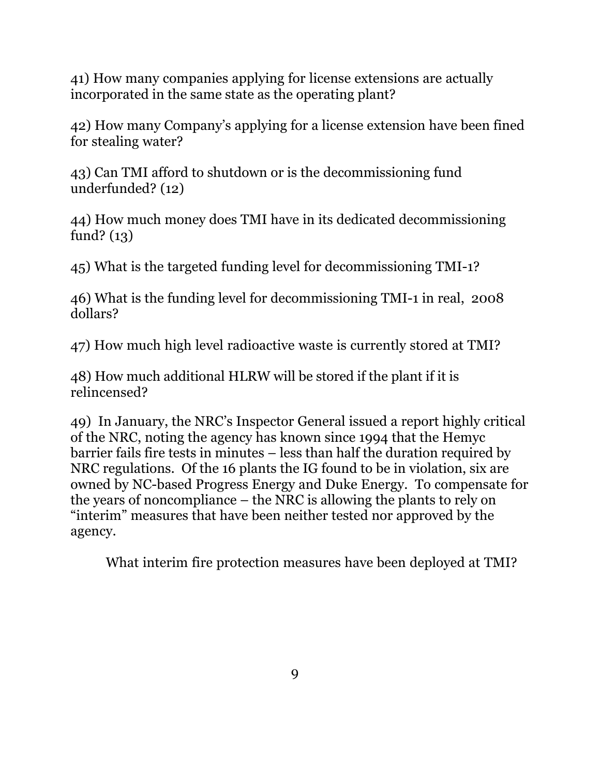41) How many companies applying for license extensions are actually incorporated in the same state as the operating plant?

42) How many Company's applying for a license extension have been fined for stealing water?

43) Can TMI afford to shutdown or is the decommissioning fund underfunded? (12)

44) How much money does TMI have in its dedicated decommissioning fund? (13)

45) What is the targeted funding level for decommissioning TMI-1?

46) What is the funding level for decommissioning TMI-1 in real, 2008 dollars?

47) How much high level radioactive waste is currently stored at TMI?

48) How much additional HLRW will be stored if the plant if it is relincensed?

49) In January, the NRC's Inspector General issued a report highly critical of the NRC, noting the agency has known since 1994 that the Hemyc barrier fails fire tests in minutes – less than half the duration required by NRC regulations. Of the 16 plants the IG found to be in violation, six are owned by NC-based Progress Energy and Duke Energy. To compensate for the years of noncompliance – the NRC is allowing the plants to rely on "interim" measures that have been neither tested nor approved by the agency.

What interim fire protection measures have been deployed at TMI?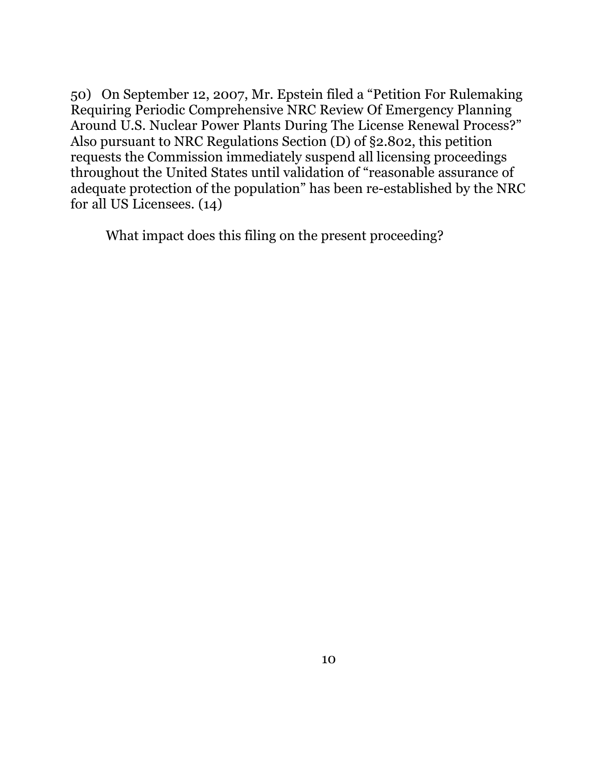50) On September 12, 2007, Mr. Epstein filed a "Petition For Rulemaking Requiring Periodic Comprehensive NRC Review Of Emergency Planning Around U.S. Nuclear Power Plants During The License Renewal Process?" Also pursuant to NRC Regulations Section (D) of §2.802, this petition requests the Commission immediately suspend all licensing proceedings throughout the United States until validation of "reasonable assurance of adequate protection of the population" has been re-established by the NRC for all US Licensees. (14)

What impact does this filing on the present proceeding?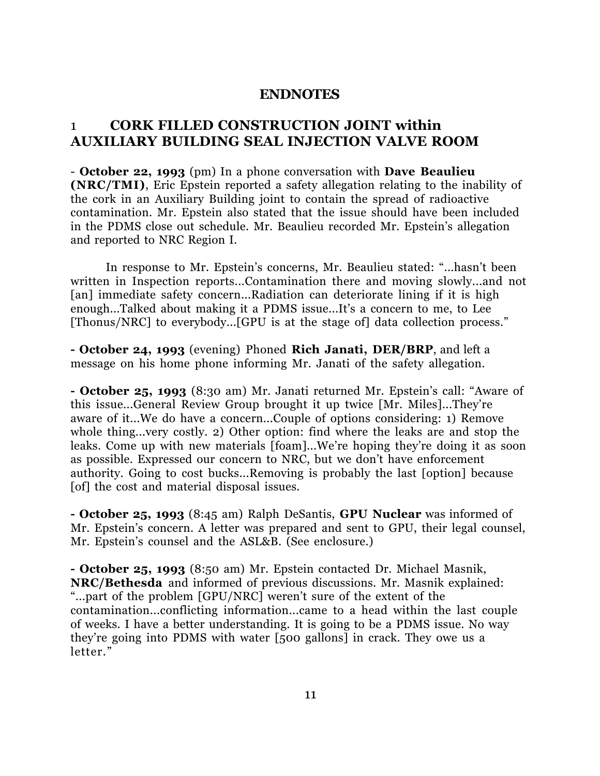#### **ENDNOTES**

### 1 **CORK FILLED CONSTRUCTION JOINT within AUXILIARY BUILDING SEAL INJECTION VALVE ROOM**

- **October 22, 1993** (pm) In a phone conversation with **Dave Beaulieu (NRC/TMI)**, Eric Epstein reported a safety allegation relating to the inability of the cork in an Auxiliary Building joint to contain the spread of radioactive contamination. Mr. Epstein also stated that the issue should have been included in the PDMS close out schedule. Mr. Beaulieu recorded Mr. Epstein's allegation and reported to NRC Region I.

In response to Mr. Epstein's concerns, Mr. Beaulieu stated: "...hasn't been written in Inspection reports...Contamination there and moving slowly...and not [an] immediate safety concern...Radiation can deteriorate lining if it is high enough...Talked about making it a PDMS issue...It's a concern to me, to Lee [Thonus/NRC] to everybody...[GPU is at the stage of] data collection process."

**- October 24, 1993** (evening) Phoned **Rich Janati, DER/BRP**, and left a message on his home phone informing Mr. Janati of the safety allegation.

**- October 25, 1993** (8:30 am) Mr. Janati returned Mr. Epstein's call: "Aware of this issue...General Review Group brought it up twice [Mr. Miles]...They're aware of it...We do have a concern...Couple of options considering: 1) Remove whole thing...very costly. 2) Other option: find where the leaks are and stop the leaks. Come up with new materials [foam]...We're hoping they're doing it as soon as possible. Expressed our concern to NRC, but we don't have enforcement authority. Going to cost bucks...Removing is probably the last [option] because [of] the cost and material disposal issues.

**- October 25, 1993** (8:45 am) Ralph DeSantis, **GPU Nuclear** was informed of Mr. Epstein's concern. A letter was prepared and sent to GPU, their legal counsel, Mr. Epstein's counsel and the ASL&B. (See enclosure.)

**- October 25, 1993** (8:50 am) Mr. Epstein contacted Dr. Michael Masnik, **NRC/Bethesda** and informed of previous discussions. Mr. Masnik explained: "...part of the problem [GPU/NRC] weren't sure of the extent of the contamination...conflicting information...came to a head within the last couple of weeks. I have a better understanding. It is going to be a PDMS issue. No way they're going into PDMS with water [500 gallons] in crack. They owe us a letter."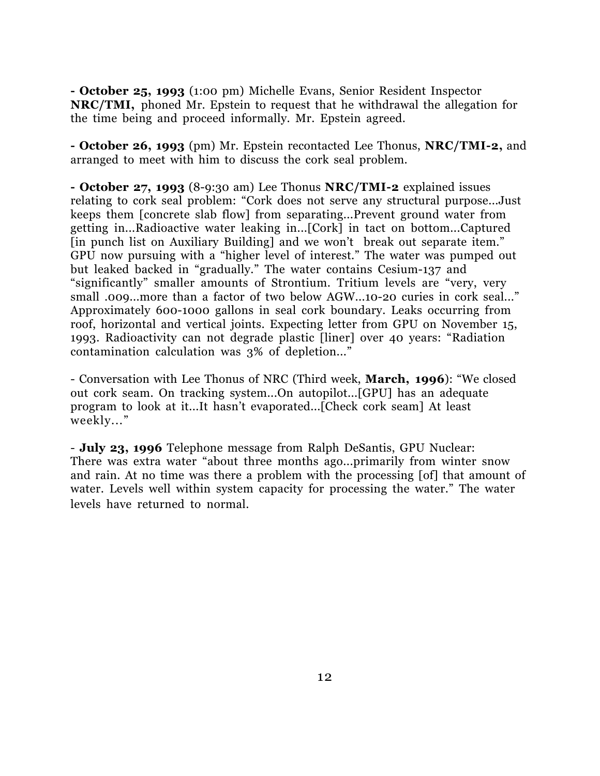**- October 25, 1993** (1:00 pm) Michelle Evans, Senior Resident Inspector **NRC/TMI,** phoned Mr. Epstein to request that he withdrawal the allegation for the time being and proceed informally. Mr. Epstein agreed.

**- October 26, 1993** (pm) Mr. Epstein recontacted Lee Thonus, **NRC/TMI-2,** and arranged to meet with him to discuss the cork seal problem.

**- October 27, 1993** (8-9:30 am) Lee Thonus **NRC/TMI-2** explained issues relating to cork seal problem: "Cork does not serve any structural purpose...Just keeps them [concrete slab flow] from separating...Prevent ground water from getting in...Radioactive water leaking in...[Cork] in tact on bottom...Captured [in punch list on Auxiliary Building] and we won't break out separate item." GPU now pursuing with a "higher level of interest." The water was pumped out but leaked backed in "gradually." The water contains Cesium-137 and "significantly" smaller amounts of Strontium. Tritium levels are "very, very small .009...more than a factor of two below AGW...10-20 curies in cork seal..." Approximately 600-1000 gallons in seal cork boundary. Leaks occurring from roof, horizontal and vertical joints. Expecting letter from GPU on November 15, 1993. Radioactivity can not degrade plastic [liner] over 40 years: "Radiation contamination calculation was 3% of depletion..."

- Conversation with Lee Thonus of NRC (Third week, **March, 1996**): "We closed out cork seam. On tracking system...On autopilot...[GPU] has an adequate program to look at it...It hasn't evaporated...[Check cork seam] At least weekly..."

- **July 23, 1996** Telephone message from Ralph DeSantis, GPU Nuclear: There was extra water "about three months ago...primarily from winter snow and rain. At no time was there a problem with the processing [of] that amount of water. Levels well within system capacity for processing the water." The water levels have returned to normal.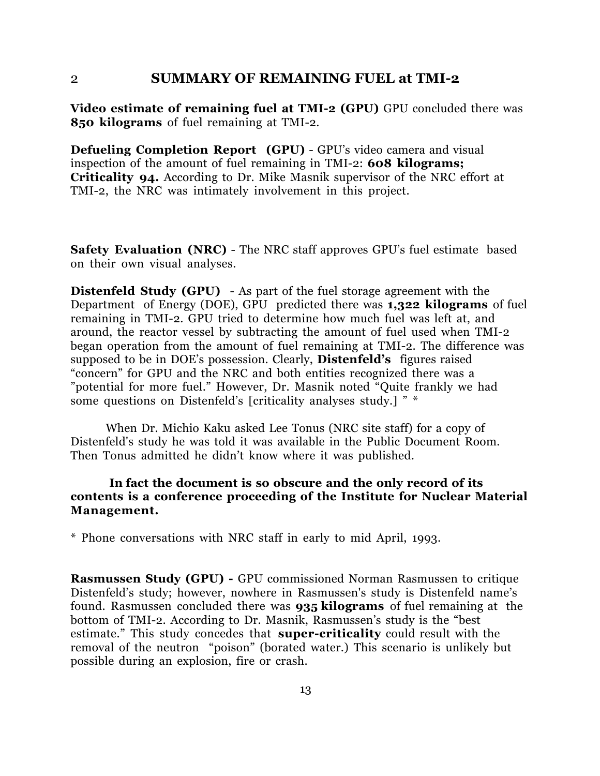#### 2 **SUMMARY OF REMAINING FUEL at TMI-2**

**Video estimate of remaining fuel at TMI-2 (GPU)** GPU concluded there was **850 kilograms** of fuel remaining at TMI-2.

**Defueling Completion Report (GPU)** - GPU's video camera and visual inspection of the amount of fuel remaining in TMI-2: **608 kilograms; Criticality 94.** According to Dr. Mike Masnik supervisor of the NRC effort at TMI-2, the NRC was intimately involvement in this project.

**Safety Evaluation (NRC)** - The NRC staff approves GPU's fuel estimate based on their own visual analyses.

**Distenfeld Study (GPU)** - As part of the fuel storage agreement with the Department of Energy (DOE), GPU predicted there was **1,322 kilograms** of fuel remaining in TMI-2. GPU tried to determine how much fuel was left at, and around, the reactor vessel by subtracting the amount of fuel used when TMI-2 began operation from the amount of fuel remaining at TMI-2. The difference was supposed to be in DOE's possession. Clearly, **Distenfeld's** figures raised "concern" for GPU and the NRC and both entities recognized there was a "potential for more fuel." However, Dr. Masnik noted "Quite frankly we had some questions on Distenfeld's [criticality analyses study.] " \*

When Dr. Michio Kaku asked Lee Tonus (NRC site staff) for a copy of Distenfeld's study he was told it was available in the Public Document Room. Then Tonus admitted he didn't know where it was published.

#### **In fact the document is so obscure and the only record of its contents is a conference proceeding of the Institute for Nuclear Material Management.**

\* Phone conversations with NRC staff in early to mid April, 1993.

**Rasmussen Study (GPU) -** GPU commissioned Norman Rasmussen to critique Distenfeld's study; however, nowhere in Rasmussen's study is Distenfeld name's found. Rasmussen concluded there was **935 kilograms** of fuel remaining at the bottom of TMI-2. According to Dr. Masnik, Rasmussen's study is the "best estimate." This study concedes that **super-criticality** could result with the removal of the neutron "poison" (borated water.) This scenario is unlikely but possible during an explosion, fire or crash.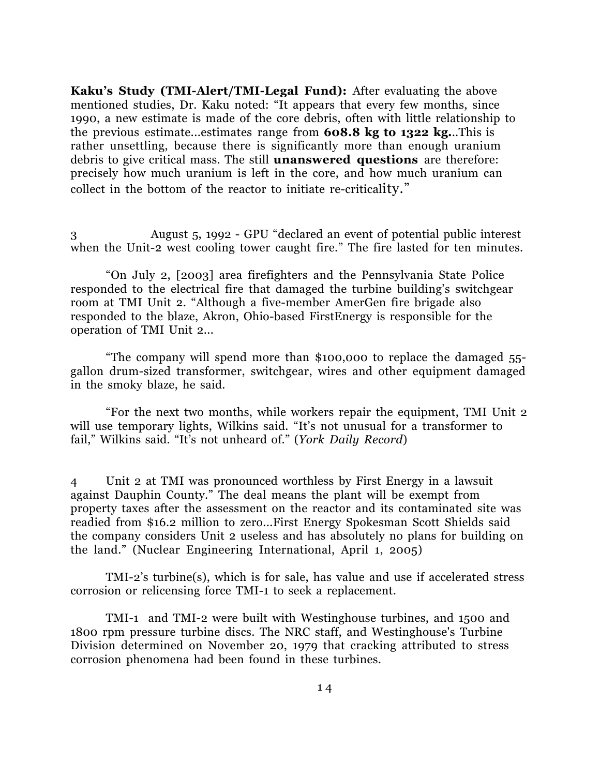**Kaku's Study (TMI-Alert/TMI-Legal Fund):** After evaluating the above mentioned studies, Dr. Kaku noted: "It appears that every few months, since 1990, a new estimate is made of the core debris, often with little relationship to the previous estimate...estimates range from **608.8 kg to 1322 kg.**..This is rather unsettling, because there is significantly more than enough uranium debris to give critical mass. The still **unanswered questions** are therefore: precisely how much uranium is left in the core, and how much uranium can collect in the bottom of the reactor to initiate re-criticality."

3 August 5, 1992 - GPU "declared an event of potential public interest when the Unit-2 west cooling tower caught fire." The fire lasted for ten minutes.

"On July 2, [2003] area firefighters and the Pennsylvania State Police responded to the electrical fire that damaged the turbine building's switchgear room at TMI Unit 2. "Although a five-member AmerGen fire brigade also responded to the blaze, Akron, Ohio-based FirstEnergy is responsible for the operation of TMI Unit 2...

"The company will spend more than \$100,000 to replace the damaged 55 gallon drum-sized transformer, switchgear, wires and other equipment damaged in the smoky blaze, he said.

"For the next two months, while workers repair the equipment, TMI Unit 2 will use temporary lights, Wilkins said. "It's not unusual for a transformer to fail," Wilkins said. "It's not unheard of." (*York Daily Record*)

4 Unit 2 at TMI was pronounced worthless by First Energy in a lawsuit against Dauphin County." The deal means the plant will be exempt from property taxes after the assessment on the reactor and its contaminated site was readied from \$16.2 million to zero...First Energy Spokesman Scott Shields said the company considers Unit 2 useless and has absolutely no plans for building on the land." (Nuclear Engineering International, April 1, 2005)

TMI-2's turbine(s), which is for sale, has value and use if accelerated stress corrosion or relicensing force TMI-1 to seek a replacement.

TMI-1 and TMI-2 were built with Westinghouse turbines, and 1500 and 1800 rpm pressure turbine discs. The NRC staff, and Westinghouse's Turbine Division determined on November 20, 1979 that cracking attributed to stress corrosion phenomena had been found in these turbines.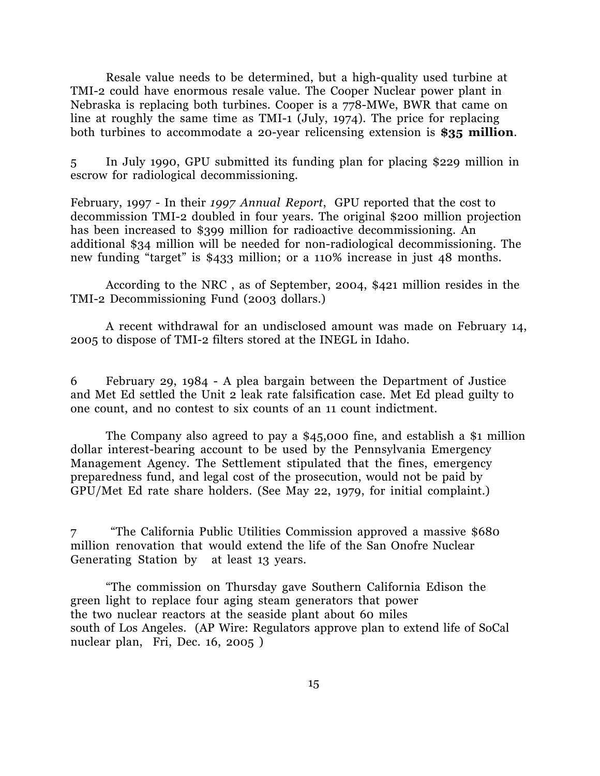Resale value needs to be determined, but a high-quality used turbine at TMI-2 could have enormous resale value. The Cooper Nuclear power plant in Nebraska is replacing both turbines. Cooper is a 778-MWe, BWR that came on line at roughly the same time as TMI-1 (July, 1974). The price for replacing both turbines to accommodate a 20-year relicensing extension is **\$35 million**.

5 In July 1990, GPU submitted its funding plan for placing \$229 million in escrow for radiological decommissioning.

February, 1997 - In their *1997 Annual Report*, GPU reported that the cost to decommission TMI-2 doubled in four years. The original \$200 million projection has been increased to \$399 million for radioactive decommissioning. An additional \$34 million will be needed for non-radiological decommissioning. The new funding "target" is \$433 million; or a 110% increase in just 48 months.

According to the NRC , as of September, 2004, \$421 million resides in the TMI-2 Decommissioning Fund (2003 dollars.)

A recent withdrawal for an undisclosed amount was made on February 14, 2005 to dispose of TMI-2 filters stored at the INEGL in Idaho.

6 February 29, 1984 - A plea bargain between the Department of Justice and Met Ed settled the Unit 2 leak rate falsification case. Met Ed plead guilty to one count, and no contest to six counts of an 11 count indictment.

The Company also agreed to pay a \$45,000 fine, and establish a \$1 million dollar interest-bearing account to be used by the Pennsylvania Emergency Management Agency. The Settlement stipulated that the fines, emergency preparedness fund, and legal cost of the prosecution, would not be paid by GPU/Met Ed rate share holders. (See May 22, 1979, for initial complaint.)

7 "The California Public Utilities Commission approved a massive \$680 million renovation that would extend the life of the San Onofre Nuclear Generating Station by at least 13 years.

"The commission on Thursday gave Southern California Edison the green light to replace four aging steam generators that power the two nuclear reactors at the seaside plant about 60 miles south of Los Angeles. (AP Wire: Regulators approve plan to extend life of SoCal nuclear plan, Fri, Dec. 16, 2005 )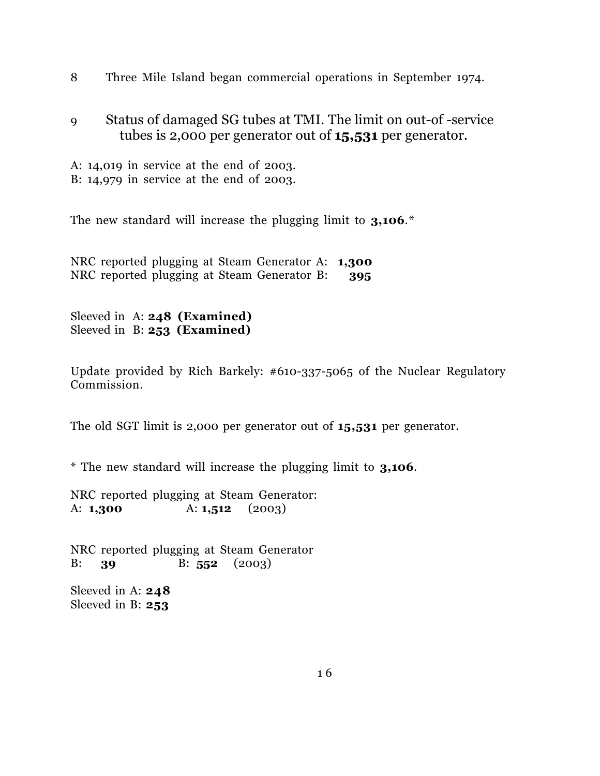8 Three Mile Island began commercial operations in September 1974.

9 Status of damaged SG tubes at TMI. The limit on out-of -service tubes is 2,000 per generator out of **15,531** per generator.

A: 14,019 in service at the end of 2003. B: 14,979 in service at the end of 2003.

The new standard will increase the plugging limit to **3,106**.\*

NRC reported plugging at Steam Generator A: **1,300** NRC reported plugging at Steam Generator B: **395**

Sleeved in A: **248 (Examined)** Sleeved in B: **253 (Examined)**

Update provided by Rich Barkely: #610-337-5065 of the Nuclear Regulatory Commission.

The old SGT limit is 2,000 per generator out of **15,531** per generator.

\* The new standard will increase the plugging limit to **3,106**.

NRC reported plugging at Steam Generator: A: **1,300** A: **1,512** (2003)

NRC reported plugging at Steam Generator B: **39** B: **552** (2003)

Sleeved in A: **248** Sleeved in B: **253**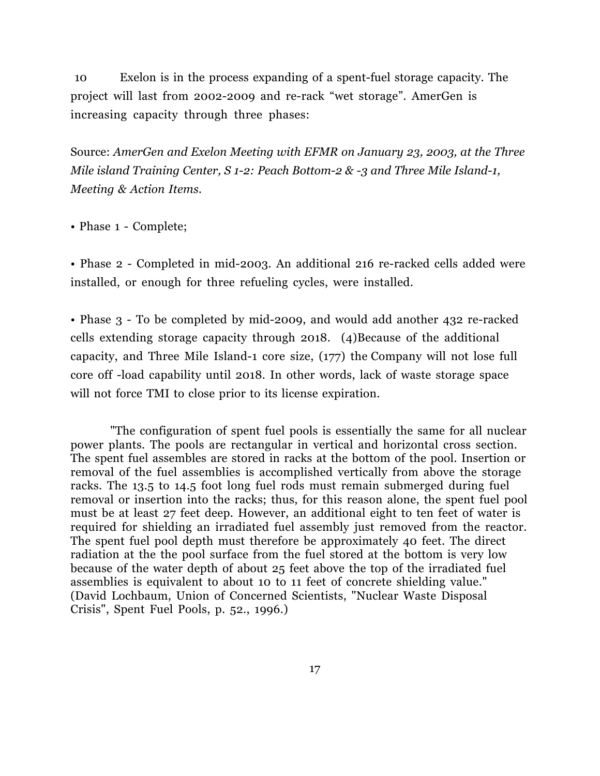10 Exelon is in the process expanding of a spent-fuel storage capacity. The project will last from 2002-2009 and re-rack "wet storage". AmerGen is increasing capacity through three phases:

Source: *AmerGen and Exelon Meeting with EFMR on January 23, 2003, at the Three Mile island Training Center, S 1-2: Peach Bottom-2 & -3 and Three Mile Island-1, Meeting & Action Items.*

• Phase 1 - Complete;

• Phase 2 - Completed in mid-2003. An additional 216 re-racked cells added were installed, or enough for three refueling cycles, were installed.

• Phase 3 - To be completed by mid-2009, and would add another 432 re-racked cells extending storage capacity through 2018. (4)Because of the additional capacity, and Three Mile Island-1 core size, (177) the Company will not lose full core off -load capability until 2018. In other words, lack of waste storage space will not force TMI to close prior to its license expiration.

"The configuration of spent fuel pools is essentially the same for all nuclear power plants. The pools are rectangular in vertical and horizontal cross section. The spent fuel assembles are stored in racks at the bottom of the pool. Insertion or removal of the fuel assemblies is accomplished vertically from above the storage racks. The 13.5 to 14.5 foot long fuel rods must remain submerged during fuel removal or insertion into the racks; thus, for this reason alone, the spent fuel pool must be at least 27 feet deep. However, an additional eight to ten feet of water is required for shielding an irradiated fuel assembly just removed from the reactor. The spent fuel pool depth must therefore be approximately 40 feet. The direct radiation at the the pool surface from the fuel stored at the bottom is very low because of the water depth of about 25 feet above the top of the irradiated fuel assemblies is equivalent to about 10 to 11 feet of concrete shielding value." (David Lochbaum, Union of Concerned Scientists, "Nuclear Waste Disposal Crisis", Spent Fuel Pools, p. 52., 1996.)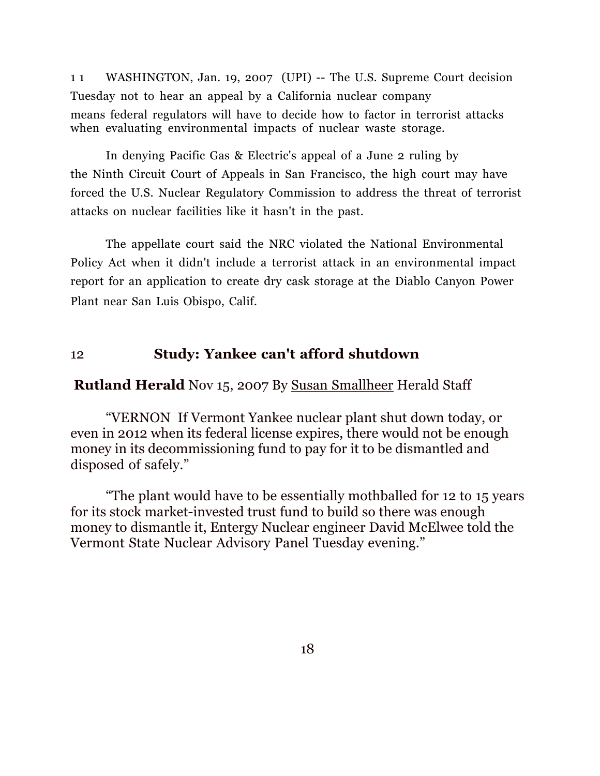1 1 WASHINGTON, Jan. 19, 2007 (UPI) -- The U.S. Supreme Court decision Tuesday not to hear an appeal by a California nuclear company means federal regulators will have to decide how to factor in terrorist attacks when evaluating environmental impacts of nuclear waste storage.

In denying Pacific Gas & Electric's appeal of a June 2 ruling by the Ninth Circuit Court of Appeals in San Francisco, the high court may have forced the U.S. Nuclear Regulatory Commission to address the threat of terrorist attacks on nuclear facilities like it hasn't in the past.

The appellate court said the NRC violated the National Environmental Policy Act when it didn't include a terrorist attack in an environmental impact report for an application to create dry cask storage at the Diablo Canyon Power Plant near San Luis Obispo, Calif.

### 12 **Study: Yankee can't afford shutdown**

#### **Rutland Herald** Nov 15, 2007 By Susan Smallheer Herald Staff

"VERNON If Vermont Yankee nuclear plant shut down today, or even in 2012 when its federal license expires, there would not be enough money in its decommissioning fund to pay for it to be dismantled and disposed of safely."

"The plant would have to be essentially mothballed for 12 to 15 years for its stock market-invested trust fund to build so there was enough money to dismantle it, Entergy Nuclear engineer David McElwee told the Vermont State Nuclear Advisory Panel Tuesday evening."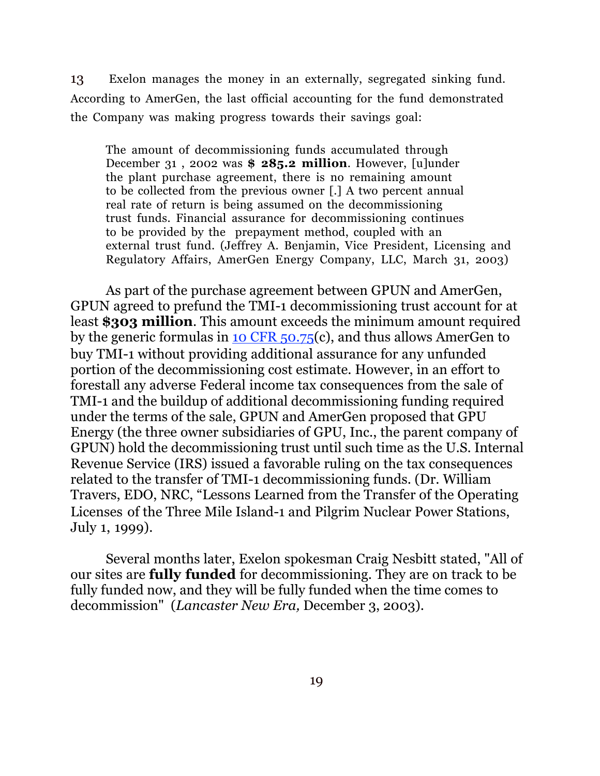13 Exelon manages the money in an externally, segregated sinking fund. According to AmerGen, the last official accounting for the fund demonstrated the Company was making progress towards their savings goal:

The amount of decommissioning funds accumulated through December 31 , 2002 was **\$ 285.2 million**. However, [u]under the plant purchase agreement, there is no remaining amount to be collected from the previous owner [.] A two percent annual real rate of return is being assumed on the decommissioning trust funds. Financial assurance for decommissioning continues to be provided by the prepayment method, coupled with an external trust fund. (Jeffrey A. Benjamin, Vice President, Licensing and Regulatory Affairs, AmerGen Energy Company, LLC, March 31, 2003)

As part of the purchase agreement between GPUN and AmerGen, GPUN agreed to prefund the TMI-1 decommissioning trust account for at least **\$303 million**. This amount exceeds the minimum amount required by the generic formulas in 10 CFR 50.75(c), and thus allows AmerGen to buy TMI-1 without providing additional assurance for any unfunded portion of the decommissioning cost estimate. However, in an effort to forestall any adverse Federal income tax consequences from the sale of TMI-1 and the buildup of additional decommissioning funding required under the terms of the sale, GPUN and AmerGen proposed that GPU Energy (the three owner subsidiaries of GPU, Inc., the parent company of GPUN) hold the decommissioning trust until such time as the U.S. Internal Revenue Service (IRS) issued a favorable ruling on the tax consequences related to the transfer of TMI-1 decommissioning funds. (Dr. William Travers, EDO, NRC, "Lessons Learned from the Transfer of the Operating Licenses of the Three Mile Island-1 and Pilgrim Nuclear Power Stations, July 1, 1999).

Several months later, Exelon spokesman Craig Nesbitt stated, "All of our sites are **fully funded** for decommissioning. They are on track to be fully funded now, and they will be fully funded when the time comes to decommission" (*Lancaster New Era,* December 3, 2003).